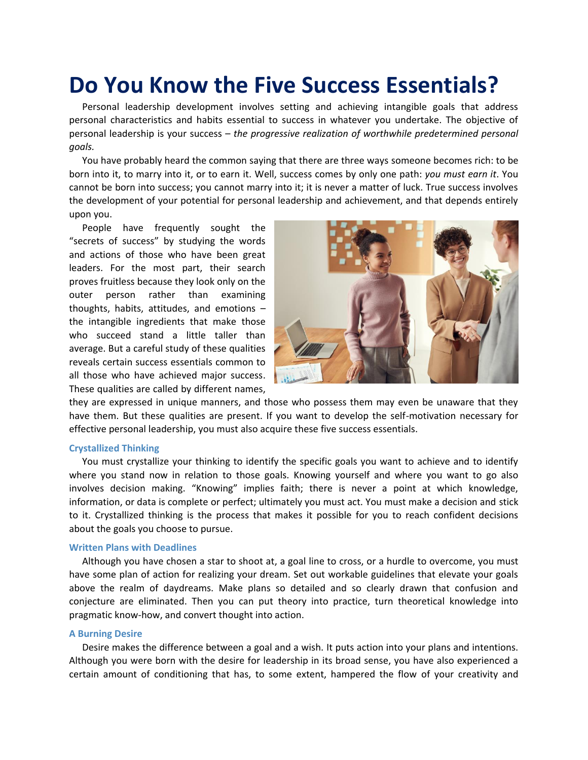# **Do You Know the Five Success Essentials?**

Personal leadership development involves setting and achieving intangible goals that address personal characteristics and habits essential to success in whatever you undertake. The objective of personal leadership is your success – *the progressive realization of worthwhile predetermined personal goals.*

You have probably heard the common saying that there are three ways someone becomes rich: to be born into it, to marry into it, or to earn it. Well, success comes by only one path: *you must earn it*. You cannot be born into success; you cannot marry into it; it is never a matter of luck. True success involves the development of your potential for personal leadership and achievement, and that depends entirely upon you.

People have frequently sought the "secrets of success" by studying the words and actions of those who have been great leaders. For the most part, their search proves fruitless because they look only on the outer person rather than examining thoughts, habits, attitudes, and emotions – the intangible ingredients that make those who succeed stand a little taller than average. But a careful study of these qualities reveals certain success essentials common to all those who have achieved major success. These qualities are called by different names,



they are expressed in unique manners, and those who possess them may even be unaware that they have them. But these qualities are present. If you want to develop the self-motivation necessary for effective personal leadership, you must also acquire these five success essentials.

### **Crystallized Thinking**

You must crystallize your thinking to identify the specific goals you want to achieve and to identify where you stand now in relation to those goals. Knowing yourself and where you want to go also involves decision making. "Knowing" implies faith; there is never a point at which knowledge, information, or data is complete or perfect; ultimately you must act. You must make a decision and stick to it. Crystallized thinking is the process that makes it possible for you to reach confident decisions about the goals you choose to pursue.

# **Written Plans with Deadlines**

Although you have chosen a star to shoot at, a goal line to cross, or a hurdle to overcome, you must have some plan of action for realizing your dream. Set out workable guidelines that elevate your goals above the realm of daydreams. Make plans so detailed and so clearly drawn that confusion and conjecture are eliminated. Then you can put theory into practice, turn theoretical knowledge into pragmatic know-how, and convert thought into action.

# **A Burning Desire**

Desire makes the difference between a goal and a wish. It puts action into your plans and intentions. Although you were born with the desire for leadership in its broad sense, you have also experienced a certain amount of conditioning that has, to some extent, hampered the flow of your creativity and